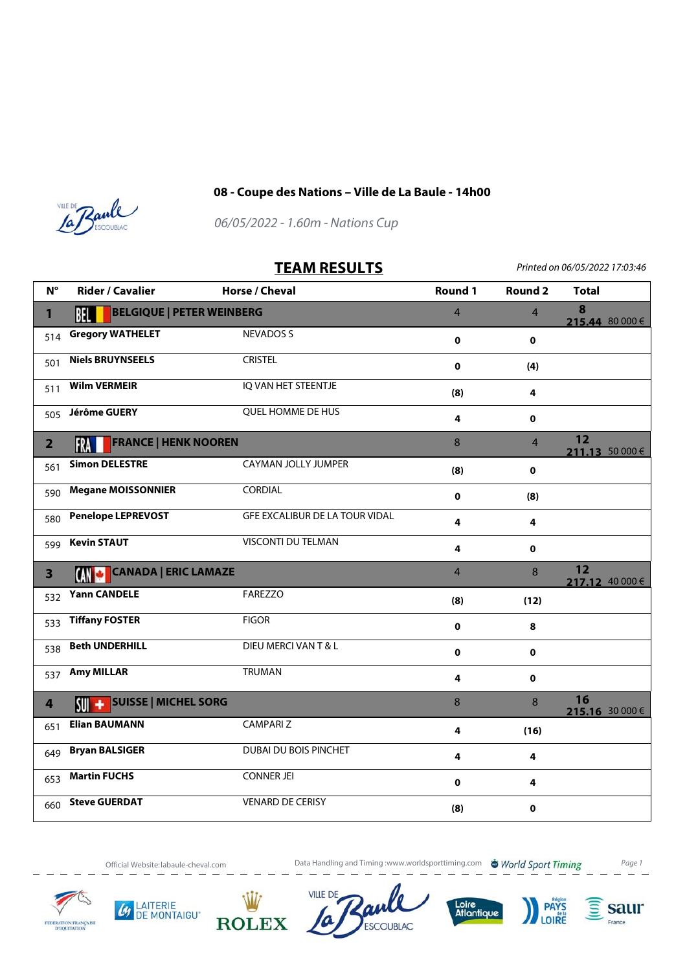

## **08 - Coupe des Nations – Ville de La Baule - 14h00**



06/05/2022 - 1.60m - Nations Cup

## **TEAM RESULTS** Printed on 06/05/2022 17:03:46

| $N^{\circ}$             | <b>Rider / Cavalier</b>                      | Horse / Cheval                 | Round 1        | <b>Round 2</b>        | <b>Total</b>          |
|-------------------------|----------------------------------------------|--------------------------------|----------------|-----------------------|-----------------------|
| $\mathbf{1}$            | <b>BELGIQUE   PETER WEINBERG</b><br>BEL I    | $\overline{4}$                 | $\overline{4}$ | 8<br>215.44 80 000 €  |                       |
| 514                     | <b>Gregory WATHELET</b>                      | <b>NEVADOS S</b>               | $\mathbf 0$    | $\mathbf 0$           |                       |
| 501                     | <b>Niels BRUYNSEELS</b>                      | <b>CRISTEL</b>                 | 0              | (4)                   |                       |
| 511                     | <b>Wilm VERMEIR</b>                          | IQ VAN HET STEENTJE            | (8)            | 4                     |                       |
| 505                     | <b>Jérôme GUERY</b>                          | QUEL HOMME DE HUS              | 4              | $\mathbf 0$           |                       |
| $\overline{2}$          | <b>FRANCE   HENK NOOREN</b><br>FRA           | 8                              | $\overline{4}$ | 12<br>211.13 50 000 € |                       |
| 561                     | <b>Simon DELESTRE</b>                        | CAYMAN JOLLY JUMPER            | (8)            | $\mathbf 0$           |                       |
| 590                     | <b>Megane MOISSONNIER</b>                    | CORDIAL                        | $\mathbf 0$    | (8)                   |                       |
| 580                     | <b>Penelope LEPREVOST</b>                    | GFE EXCALIBUR DE LA TOUR VIDAL | 4              | 4                     |                       |
| 599                     | <b>Kevin STAUT</b>                           | VISCONTI DU TELMAN             | 4              | $\mathbf 0$           |                       |
| $\overline{\mathbf{3}}$ | <b>CANADA   ERIC LAMAZE</b><br>CAN CI        |                                | $\overline{4}$ | $\mathbf{8}$          | 12<br>217.12 40 000 € |
| 532                     | <b>Yann CANDELE</b>                          | FAREZZO                        | (8)            | (12)                  |                       |
| 533                     | <b>Tiffany FOSTER</b>                        | <b>FIGOR</b>                   | $\mathbf 0$    | 8                     |                       |
| 538                     | <b>Beth UNDERHILL</b>                        | DIEU MERCI VAN T & L           | $\mathbf 0$    | $\pmb{0}$             |                       |
| 537                     | <b>Amy MILLAR</b>                            | <b>TRUMAN</b>                  | 4              | $\mathbf 0$           |                       |
| $\overline{\mathbf{r}}$ | <b>SUISSE   MICHEL SORG</b><br>$\frac{1}{2}$ |                                | 8              | 8                     | 16<br>215.16 30 000 € |
| 651                     | <b>Elian BAUMANN</b>                         | <b>CAMPARIZ</b>                | 4              | (16)                  |                       |
| 649                     | <b>Bryan BALSIGER</b>                        | DUBAI DU BOIS PINCHET          | 4              | 4                     |                       |
| 653                     | <b>Martin FUCHS</b>                          | <b>CONNER JEI</b>              | $\mathbf 0$    | 4                     |                       |
| 660                     | <b>Steve GUERDAT</b>                         | <b>VENARD DE CERISY</b>        | (8)            | $\pmb{0}$             |                       |

LAITERIE

DE MONTAIGU'

Ly

Official Website:labaule-cheval.com **Data Handling and Timing :www.worldsporttiming.com World Sport Timing** Page 1

ESCOUBLAC

Loire<br>Atlantique

saur

France

**PAYS** 

LOIRE